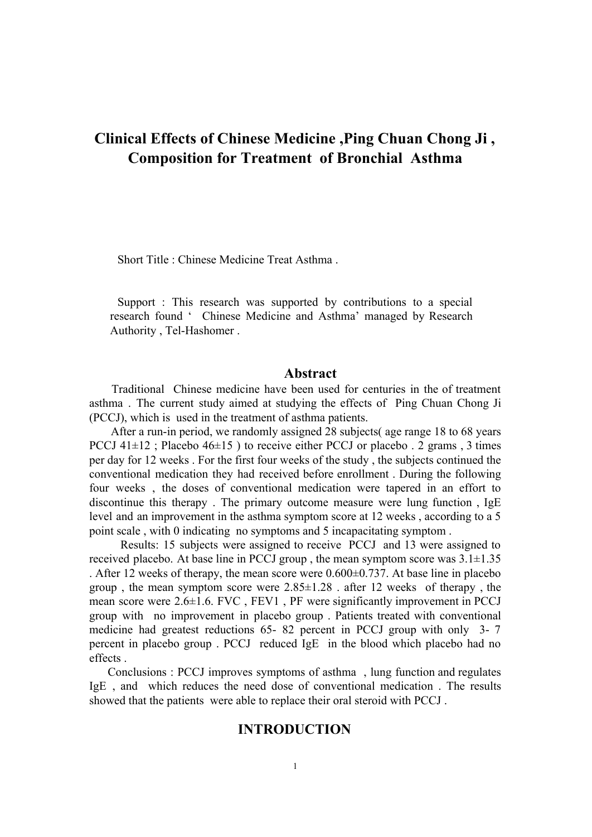# **Clinical Effects of Chinese Medicine ,Ping Chuan Chong Ji , Composition for Treatment of Bronchial Asthma**

Short Title : Chinese Medicine Treat Asthma .

Support : This research was supported by contributions to a special research found ' Chinese Medicine and Asthma' managed by Research Authority, Tel-Hashomer.

# **Abstract**

Traditional Chinese medicine have been used for centuries in the of treatment asthma . The current study aimed at studying the effects of Ping Chuan Chong Ji (PCCJ), which is used in the treatment of asthma patients.

After a run-in period, we randomly assigned 28 subjects (age range 18 to 68 years PCCJ  $41\pm12$ ; Placebo  $46\pm15$ ) to receive either PCCJ or placebo . 2 grams, 3 times per day for 12 weeks . For the first four weeks of the study , the subjects continued the conventional medication they had received before enrollment . During the following four weeks , the doses of conventional medication were tapered in an effort to discontinue this therapy . The primary outcome measure were lung function , IgE level and an improvement in the asthma symptom score at 12 weeks , according to a 5 point scale , with 0 indicating no symptoms and 5 incapacitating symptom .

Results: 15 subjects were assigned to receive PCCJ and 13 were assigned to received placebo. At base line in PCCJ group, the mean symptom score was  $3.1 \pm 1.35$ . After 12 weeks of therapy, the mean score were  $0.600\pm0.737$ . At base line in placebo group, the mean symptom score were  $2.85 \pm 1.28$ . after 12 weeks of therapy, the mean score were 2.6±1.6. FVC , FEV1 , PF were significantly improvement in PCCJ group with no improvement in placebo group . Patients treated with conventional medicine had greatest reductions  $65 - 82$  percent in PCCJ group with only  $3 - 7$ percent in placebo group . PCCJ reduced IgE in the blood which placebo had no effects .

Conclusions : PCCJ improves symptoms of asthma , lung function and regulates IgE , and which reduces the need dose of conventional medication . The results showed that the patients were able to replace their oral steroid with PCCJ .

# **INTRODUCTION**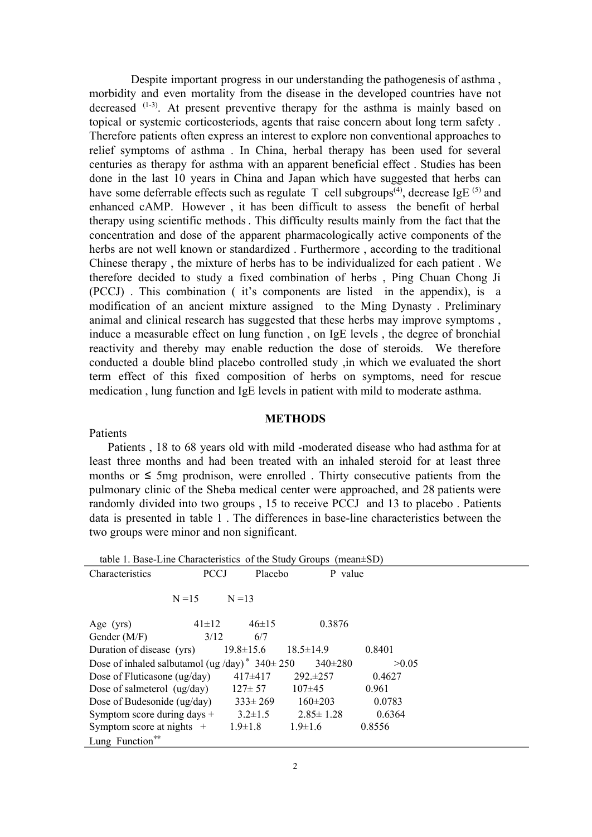Despite important progress in our understanding the pathogenesis of asthma , morbidity and even mortality from the disease in the developed countries have not decreased  $(1-3)$ . At present preventive therapy for the asthma is mainly based on topical or systemic corticosteriods, agents that raise concern about long term safety . Therefore patients often express an interest to explore non conventional approaches to relief symptoms of asthma . In China, herbal therapy has been used for several centuries as therapy for asthma with an apparent beneficial effect . Studies has been done in the last 10 years in China and Japan which have suggested that herbs can have some deferrable effects such as regulate T cell subgroups<sup>(4)</sup>, decrease IgE<sup>(5)</sup> and enhanced cAMP. However , it has been difficult to assess the benefit of herbal therapy using scientific methods. This difficulty results mainly from the fact that the concentration and dose of the apparent pharmacologically active components of the herbs are not well known or standardized . Furthermore , according to the traditional Chinese therapy , the mixture of herbs has to be individualized for each patient . We therefore decided to study a fixed combination of herbs , Ping Chuan Chong Ji (PCCJ) . This combination ( it's components are listed in the appendix), is a modification of an ancient mixture assigned to the Ming Dynasty . Preliminary animal and clinical research has suggested that these herbs may improve symptoms , induce a measurable effect on lung function , on IgE levels , the degree of bronchial reactivity and thereby may enable reduction the dose of steroids. We therefore conducted a double blind placebo controlled study ,in which we evaluated the short term effect of this fixed composition of herbs on symptoms, need for rescue medication , lung function and IgE levels in patient with mild to moderate asthma.

#### **METHODS**

Patients

Patients, 18 to 68 years old with mild -moderated disease who had asthma for at least three months and had been treated with an inhaled steroid for at least three months or  $\leq$  5mg prodnison, were enrolled. Thirty consecutive patients from the pulmonary clinic of the Sheba medical center were approached, and 28 patients were randomly divided into two groups , 15 to receive PCCJ and 13 to placebo . Patients data is presented in table 1. The differences in base-line characteristics between the two groups were minor and non significant.

|                                                     |             |                 | table 1. Base-Line Characteristics of the Study Groups (mean $\pm$ SD) |        |  |
|-----------------------------------------------------|-------------|-----------------|------------------------------------------------------------------------|--------|--|
| Characteristics                                     | <b>PCCJ</b> | Placebo         | P value                                                                |        |  |
|                                                     |             |                 |                                                                        |        |  |
|                                                     | $N = 15$    | $N = 13$        |                                                                        |        |  |
|                                                     |             |                 |                                                                        |        |  |
| Age $(yrs)$                                         | $41\pm12$   | $46 \pm 15$     | 0.3876                                                                 |        |  |
| Gender $(M/F)$                                      | 3/12        | 6/7             |                                                                        |        |  |
| Duration of disease (yrs)                           |             | $19.8 \pm 15.6$ | $18.5 \pm 14.9$                                                        | 0.8401 |  |
| Dose of inhaled salbutamol (ug /day)* $340 \pm 250$ |             |                 | $340 \pm 280$                                                          | >0.05  |  |
| Dose of Fluticasone (ug/day)                        |             | $417\pm417$     | $292. \pm 257$                                                         | 0.4627 |  |
| Dose of salmeterol $(ug/day)$                       |             | $127 \pm 57$    | $107\pm 45$                                                            | 0.961  |  |
| Dose of Budesonide (ug/day)                         |             | $333 \pm 269$   | $160 \pm 203$                                                          | 0.0783 |  |
| Symptom score during days $+$                       |             | $3.2 \pm 1.5$   | $2.85 \pm 1.28$                                                        | 0.6364 |  |
| Symptom score at nights $+$                         |             | $1.9 \pm 1.8$   | $1.9 \pm 1.6$                                                          | 0.8556 |  |
| Lung Function**                                     |             |                 |                                                                        |        |  |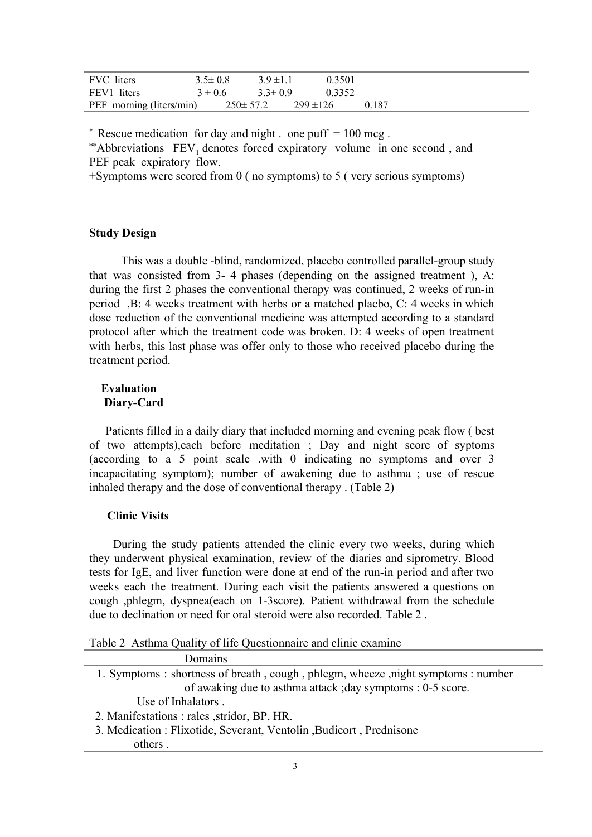| FVC liters               | $3.5 \pm 0.8$  | $3.9 \pm 1.1$ | 0.3501        |       |
|--------------------------|----------------|---------------|---------------|-------|
| FEV1 liters              | $3 \pm 0.6$    | $3.3 \pm 0.9$ | 0.3352        |       |
| PEF morning (liters/min) | $250 \pm 57.2$ |               | $299 \pm 126$ | 0.187 |

 $*$  Rescue medication for day and night . one puff  $= 100$  mcg.

<sup>∗∗</sup>Abbreviations FEV<sub>1</sub> denotes forced expiratory volume in one second, and PEF peak expiratory flow.

+Symptoms were scored from 0 ( no symptoms) to 5 ( very serious symptoms)

# **Study Design**

This was a double -blind, randomized, placebo controlled parallel-group study that was consisted from  $3-4$  phases (depending on the assigned treatment), A: during the first 2 phases the conventional therapy was continued, 2 weeks of run-in period ,B: 4 weeks treatment with herbs or a matched placbo, C: 4 weeks in which dose reduction of the conventional medicine was attempted according to a standard protocol after which the treatment code was broken. D: 4 weeks of open treatment with herbs, this last phase was offer only to those who received placebo during the treatment period.

# **Evaluation Diary-Card**

Patients filled in a daily diary that included morning and evening peak flow ( best of two attempts),each before meditation ; Day and night score of syptoms (according to a 5 point scale .with 0 indicating no symptoms and over 3 incapacitating symptom); number of awakening due to asthma ; use of rescue inhaled therapy and the dose of conventional therapy . (Table 2)

# **Clinic Visits**

During the study patients attended the clinic every two weeks, during which they underwent physical examination, review of the diaries and siprometry. Blood tests for IgE, and liver function were done at end of the run-in period and after two weeks each the treatment. During each visit the patients answered a questions on cough ,phlegm, dyspnea(each on 13score). Patient withdrawal from the schedule due to declination or need for oral steroid were also recorded. Table 2 .

Table 2 Asthma Quality of life Questionnaire and clinic examine

| Domains                                                                         |
|---------------------------------------------------------------------------------|
| 1. Symptoms: shortness of breath, cough, phlegm, wheeze, night symptoms: number |
| of awaking due to asthma attack ; day symptoms : 0-5 score.                     |
| Use of Inhalators.                                                              |
| 2. Manifestations : rales , stridor, BP, HR.                                    |
| 3. Medication : Flixotide, Severant, Ventolin, Budicort, Prednisone             |
| others                                                                          |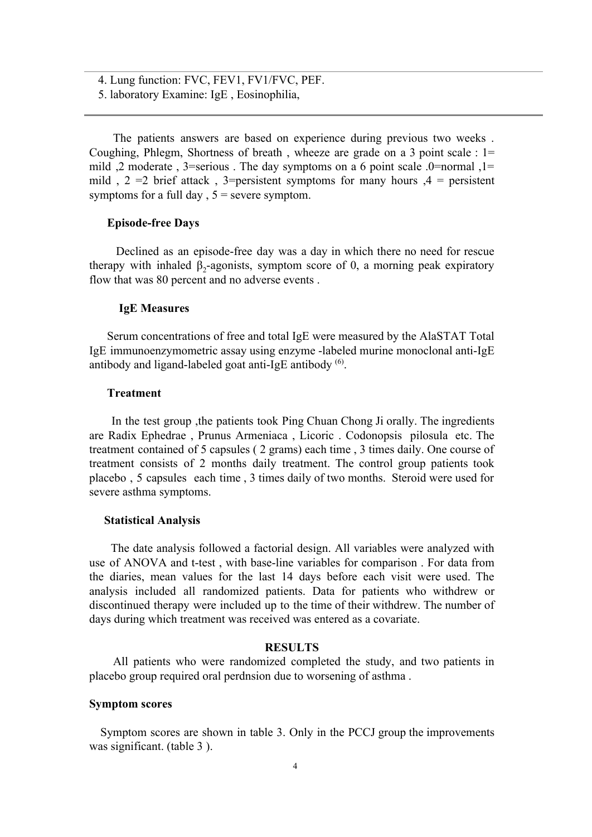4. Lung function: FVC, FEV1, FV1/FVC, PEF.

5. laboratory Examine: IgE , Eosinophilia,

The patients answers are based on experience during previous two weeks . Coughing, Phlegm, Shortness of breath , wheeze are grade on a 3 point scale : 1= mild ,2 moderate , 3=serious . The day symptoms on a 6 point scale .0=normal ,1= mild ,  $2 = 2$  brief attack, 3=persistent symptoms for many hours  $\mathcal{A} =$  persistent symptoms for a full day  $, 5$  = severe symptom.

# **Episodefree Days**

Declined as an episode-free day was a day in which there no need for rescue therapy with inhaled  $\beta_2$ -agonists, symptom score of 0, a morning peak expiratory flow that was 80 percent and no adverse events .

#### **IgE Measures**

Serum concentrations of free and total IgE were measured by the AlaSTAT Total  $IgE$  immunoenzymometric assay using enzyme -labeled murine monoclonal anti- $IgE$ antibody and ligand-labeled goat anti-IgE antibody  $(6)$ .

# **Treatment**

In the test group ,the patients took Ping Chuan Chong Ji orally. The ingredients are Radix Ephedrae , Prunus Armeniaca , Licoric . Codonopsis pilosula etc. The treatment contained of 5 capsules ( 2 grams) each time , 3 times daily. One course of treatment consists of 2 months daily treatment. The control group patients took placebo , 5 capsules each time , 3 times daily of two months. Steroid were used for severe asthma symptoms.

# **Statistical Analysis**

The date analysis followed a factorial design. All variables were analyzed with use of ANOVA and t-test, with base-line variables for comparison. For data from the diaries, mean values for the last 14 days before each visit were used. The analysis included all randomized patients. Data for patients who withdrew or discontinued therapy were included up to the time of their withdrew. The number of days during which treatment was received was entered as a covariate.

#### **RESULTS**

All patients who were randomized completed the study, and two patients in placebo group required oral perdnsion due to worsening of asthma .

# **Symptom scores**

Symptom scores are shown in table 3. Only in the PCCJ group the improvements was significant. (table 3).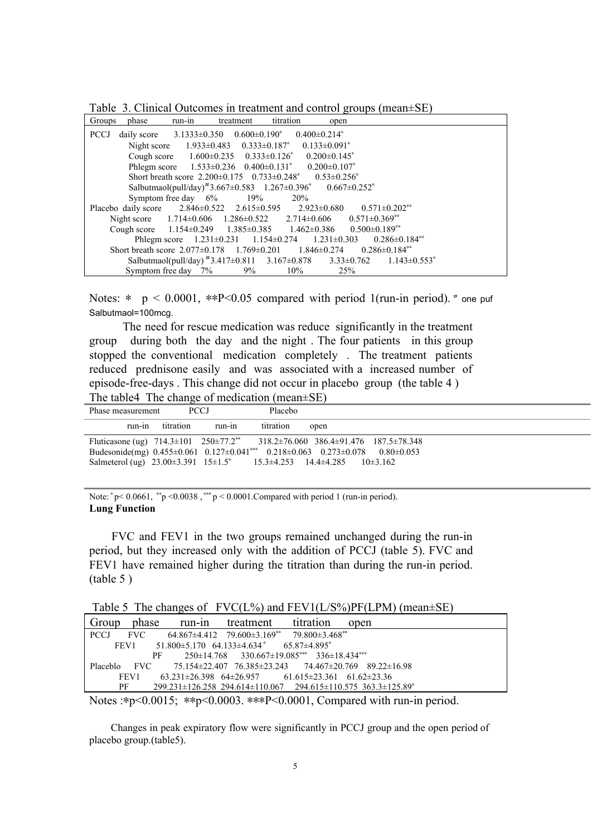Table 3. Clinical Outcomes in treatment and control groups (mean±SE)

| Groups      | phase | run-in | treatment                                                                                                | titration | open   |     |                                                                                                           |  |
|-------------|-------|--------|----------------------------------------------------------------------------------------------------------|-----------|--------|-----|-----------------------------------------------------------------------------------------------------------|--|
| <b>PCCJ</b> |       |        | daily score $3.1333\pm0.350$ $0.600\pm0.190^*$ $0.400\pm0.214^*$                                         |           |        |     |                                                                                                           |  |
|             |       |        | Night score $1.933\pm0.483$ $0.333\pm0.187$ $0.133\pm0.091$ <sup>*</sup>                                 |           |        |     |                                                                                                           |  |
|             |       |        | Cough score $1.600\pm0.235$ $0.333\pm0.126^*$ $0.200\pm0.145^*$                                          |           |        |     |                                                                                                           |  |
|             |       |        | Phlegm score $1.533 \pm 0.236$ $0.400 \pm 0.131^*$ $0.200 \pm 0.107^*$                                   |           |        |     |                                                                                                           |  |
|             |       |        | Short breath score $2.200\pm0.175$ $0.733\pm0.248$ $0.53\pm0.256$                                        |           |        |     |                                                                                                           |  |
|             |       |        | Salbutmaol(pull/day) <sup>#3</sup> .667±0.583 1.267±0.396 <sup>*</sup> 0.667±0.252 <sup>*</sup>          |           |        |     |                                                                                                           |  |
|             |       |        | Symptom free day $6\%$ 19% 20%                                                                           |           |        |     |                                                                                                           |  |
|             |       |        | Placebo daily score $2.846 \pm 0.522$ $2.615 \pm 0.595$ $2.923 \pm 0.680$                                |           |        |     | $0.571 \pm 0.202$ <sup>**</sup>                                                                           |  |
|             |       |        | Night score $1.714 \pm 0.606$ $1.286 \pm 0.522$ $2.714 \pm 0.606$ $0.571 \pm 0.369^{**}$                 |           |        |     |                                                                                                           |  |
|             |       |        | Cough score $1.154 \pm 0.249$ $1.385 \pm 0.385$ $1.462 \pm 0.386$ $0.500 \pm 0.189$ <sup>**</sup>        |           |        |     |                                                                                                           |  |
|             |       |        | Phlegm score $1.231 \pm 0.231$ $1.154 \pm 0.274$ $1.231 \pm 0.303$ $0.286 \pm 0.184$ <sup>**</sup>       |           |        |     |                                                                                                           |  |
|             |       |        | Short breath score $2.077 \pm 0.178$ 1.769 $\pm$ 0.201 1.846 $\pm$ 0.274 0.286 $\pm$ 0.184 <sup>**</sup> |           |        |     |                                                                                                           |  |
|             |       |        |                                                                                                          |           |        |     | Salbutmaol(pull/day) $*3.417 \pm 0.811$ $3.167 \pm 0.878$ $3.33 \pm 0.762$ $1.143 \pm 0.553$ <sup>*</sup> |  |
|             |       |        | Symptom free day $7\%$ 9%                                                                                |           | $10\%$ | 25% |                                                                                                           |  |

Notes:  $*$  p < 0.0001,  $*P<0.05$  compared with period 1(run-in period).  $*$  one puf Salbutmaol=100mcg.

The need for rescue medication was reduce significantly in the treatment group during both the day and the night . The four patients in this group stopped the conventional medication completely . The treatment patients reduced prednisone easily and was associated with a increased number of episode-free-days . This change did not occur in placebo group (the table  $4$ ) The table4 The change of medication (mean±SE)

| Phase measurement |           | <b>PCCJ</b> | Placebo   |                                                                                                                        |
|-------------------|-----------|-------------|-----------|------------------------------------------------------------------------------------------------------------------------|
| run-in            | titration | run-ın      | titration | open                                                                                                                   |
|                   |           |             |           | Fluticasone (ug) $714.3 \pm 101$ $250 \pm 77.2$ <sup>**</sup> $318.2 \pm 76.060$ $386.4 \pm 91.476$ $187.5 \pm 78.348$ |
|                   |           |             |           | Budesonide(mg) $0.455\pm0.061$ $0.127\pm0.041***$ $0.218\pm0.063$ $0.273\pm0.078$ $0.80\pm0.053$                       |
|                   |           |             |           | Salmeterol (ug) $23.00\pm3.391$ $15\pm1.5^*$ $15.3\pm4.253$ $14.4\pm4.285$ $10\pm3.162$                                |

Note:  $*p < 0.0661$ ,  $*p < 0.0038$ ,  $* * p < 0.0001$ . Compared with period 1 (run-in period). **Lung Function**

FVC and FEV1 in the two groups remained unchanged during the run-in period, but they increased only with the addition of PCCJ (table 5). FVC and FEV1 have remained higher during the titration than during the run-in period. (table 5 )

Table 5 The changes of FVC(L%) and FEV1(L/S%)PF(LPM) (mean±SE)

|             |            | Group phase run-in treatment titration                                    | open                                                                                              |
|-------------|------------|---------------------------------------------------------------------------|---------------------------------------------------------------------------------------------------|
| <b>PCCI</b> | <b>EVC</b> | $64.867\pm4.412$ $79.600\pm3.169^{**}$ $79.800\pm3.468^{**}$              |                                                                                                   |
|             | FEV1       | $51.800\pm5.170$ $64.133\pm4.634$ $65.87\pm4.895$                         |                                                                                                   |
|             | РF         | $250 \pm 14.768$ $330.667 \pm 19.085$ *** $336 \pm 18.434$ ***            |                                                                                                   |
|             |            |                                                                           | Placeblo FVC $75.154\pm22.407$ $76.385\pm23.243$ $74.467\pm20.769$ $89.22\pm16.98$                |
|             | FEV1       | $63.231 \pm 26.398$ $64 \pm 26.957$ $61.615 \pm 23.361$ $61.62 \pm 23.36$ |                                                                                                   |
|             | PF         |                                                                           | $299.231 \pm 126.258$ $294.614 \pm 110.067$ $294.615 \pm 110.575$ $363.3 \pm 125.89$ <sup>*</sup> |
|             |            |                                                                           |                                                                                                   |

Notes :\*p<0.0015; \*\*p<0.0003. \*\*\*P<0.0001, Compared with run-in period.

Changes in peak expiratory flow were significantly in PCCJ group and the open period of placebo group.(table5).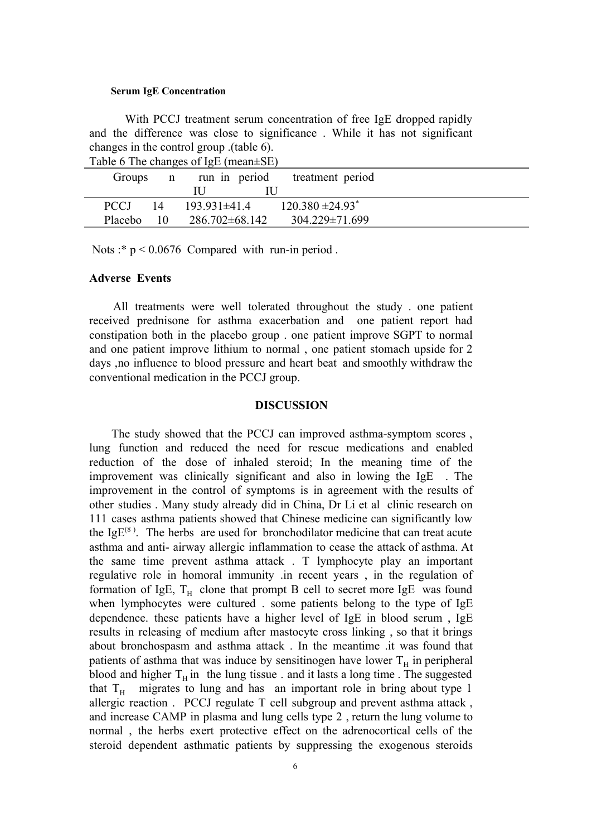#### **Serum IgE Concentration**

With PCCJ treatment serum concentration of free IgE dropped rapidly and the difference was close to significance . While it has not significant changes in the control group .(table 6).

|             |    | $14010$ $\sigma$ $1110$ enalgeberg $1450$ (incan-be) |                                         |
|-------------|----|------------------------------------------------------|-----------------------------------------|
|             |    |                                                      | Groups n run in period treatment period |
|             |    |                                                      |                                         |
| <b>PCCJ</b> | 14 | $193.931 \pm 41.4$                                   | $120.380 \pm 24.93$ <sup>*</sup>        |
| Placebo     |    | $10 \qquad 286.702 \pm 68.142$                       | $304.229 \pm 71.699$                    |

Table 6 The changes of IgE (mean±SE)

Nots :\*  $p < 0.0676$  Compared with run-in period.

#### **Adverse Events**

All treatments were well tolerated throughout the study . one patient received prednisone for asthma exacerbation and one patient report had constipation both in the placebo group . one patient improve SGPT to normal and one patient improve lithium to normal , one patient stomach upside for 2 days ,no influence to blood pressure and heart beat and smoothly withdraw the conventional medication in the PCCJ group.

# **DISCUSSION**

The study showed that the PCCJ can improved asthma-symptom scores, lung function and reduced the need for rescue medications and enabled reduction of the dose of inhaled steroid; In the meaning time of the improvement was clinically significant and also in lowing the IgE . The improvement in the control of symptoms is in agreement with the results of other studies . Many study already did in China, Dr Li et al clinic research on 111 cases asthma patients showed that Chinese medicine can significantly low the Ig $E^{(8)}$ . The herbs are used for bronchodilator medicine that can treat acute asthma and anti- airway allergic inflammation to cease the attack of asthma. At the same time prevent asthma attack . T lymphocyte play an important regulative role in homoral immunity .in recent years , in the regulation of formation of IgE,  $T_H$  clone that prompt B cell to secret more IgE was found when lymphocytes were cultured . some patients belong to the type of IgE dependence. these patients have a higher level of IgE in blood serum , IgE results in releasing of medium after mastocyte cross linking , so that it brings about bronchospasm and asthma attack . In the meantime .it was found that patients of asthma that was induce by sensitinogen have lower  $T_H$  in peripheral blood and higher  $T_H$  in the lung tissue . and it lasts a long time . The suggested that  $T_H$  migrates to lung and has an important role in bring about type 1 allergic reaction . PCCJ regulate T cell subgroup and prevent asthma attack , and increase CAMP in plasma and lung cells type 2 , return the lung volume to normal , the herbs exert protective effect on the adrenocortical cells of the steroid dependent asthmatic patients by suppressing the exogenous steroids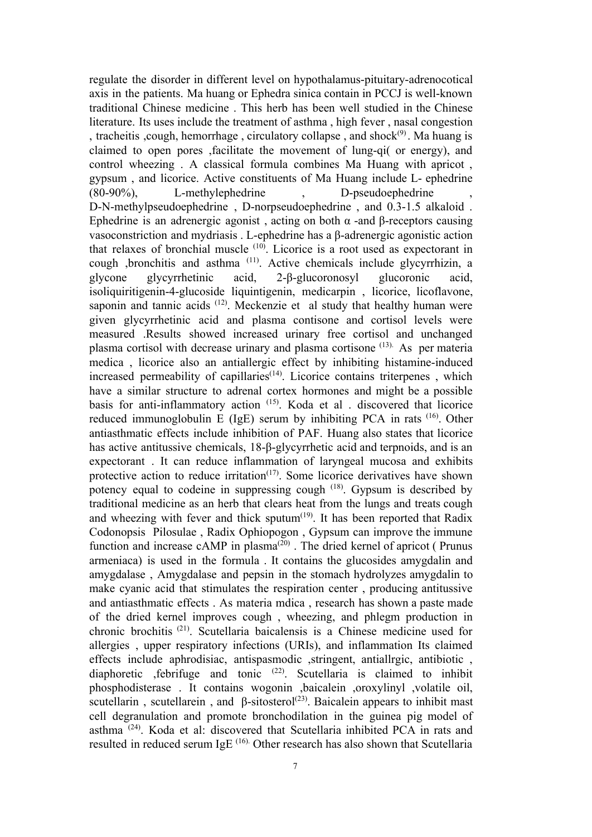regulate the disorder in different level on hypothalamus-pituitary-adrenocotical axis in the patients. Ma huang or Ephedra sinica contain in PCCJ is well-known traditional Chinese medicine . This herb has been well studied in the Chinese literature. Its uses include the treatment of asthma , high fever , nasal congestion , tracheitis , cough, hemorrhage, circulatory collapse, and shock $(9)$ . Ma huang is claimed to open pores , facilitate the movement of lung-qi( or energy), and control wheezing . A classical formula combines Ma Huang with apricot , gypsum, and licorice. Active constituents of Ma Huang include L- ephedrine  $(80-90\%)$ , L-methylephedrine D-pseudoephedrine D-N-methylpseudoephedrine, D-norpseudoephedrine, and 0.3-1.5 alkaloid. Ephedrine is an adrenergic agonist, acting on both  $\alpha$  -and β-receptors causing vasoconstriction and mydriasis . L-ephedrine has a β-adrenergic agonistic action that relaxes of bronchial muscle <sup>(10)</sup>. Licorice is a root used as expectorant in cough ,bronchitis and asthma (11) . Active chemicals include glycyrrhizin, a glycone glycyrrhetinic acid, 2-β-glucoronosyl glucoronic acid, isoliquiritigenin-4-glucoside liquintigenin, medicarpin, licorice, licoflavone, saponin and tannic acids  $(12)$ . Meckenzie et al study that healthy human were given glycyrrhetinic acid and plasma contisone and cortisol levels were measured .Results showed increased urinary free cortisol and unchanged plasma cortisol with decrease urinary and plasma cortisone<sup>(13)</sup>. As per materia medica, licorice also an antiallergic effect by inhibiting histamine-induced increased permeability of capillaries $(14)$ . Licorice contains triterpenes, which have a similar structure to adrenal cortex hormones and might be a possible basis for anti-inflammatory action  $(15)$ . Koda et al . discovered that licorice reduced immunoglobulin E (IgE) serum by inhibiting PCA in rats <sup>(16)</sup>. Other antiasthmatic effects include inhibition of PAF. Huang also states that licorice has active antitussive chemicals, 18-β-glycyrrhetic acid and terpnoids, and is an expectorant . It can reduce inflammation of laryngeal mucosa and exhibits protective action to reduce irritation<sup>(17)</sup>. Some licorice derivatives have shown potency equal to codeine in suppressing cough <sup>(18)</sup>. Gypsum is described by traditional medicine as an herb that clears heat from the lungs and treats cough and wheezing with fever and thick sputum $(19)$ . It has been reported that Radix Codonopsis Pilosulae , Radix Ophiopogon , Gypsum can improve the immune function and increase  $cAMP$  in plasma<sup> $(20)$ </sup>. The dried kernel of apricot (Prunus armeniaca) is used in the formula . It contains the glucosides amygdalin and amygdalase , Amygdalase and pepsin in the stomach hydrolyzes amygdalin to make cyanic acid that stimulates the respiration center , producing antitussive and antiasthmatic effects . As materia mdica , research has shown a paste made of the dried kernel improves cough , wheezing, and phlegm production in chronic brochitis (21) . Scutellaria baicalensis is a Chinese medicine used for allergies , upper respiratory infections (URIs), and inflammation Its claimed effects include aphrodisiac, antispasmodic ,stringent, antiallrgic, antibiotic , diaphoretic ,febrifuge and tonic (22) . Scutellaria is claimed to inhibit phosphodisterase . It contains wogonin ,baicalein ,oroxylinyl ,volatile oil, scutellarin, scutellarein, and  $\beta$ -sitosterol<sup>(23)</sup>. Baicalein appears to inhibit mast cell degranulation and promote bronchodilation in the guinea pig model of asthma<sup>(24)</sup>. Koda et al: discovered that Scutellaria inhibited PCA in rats and resulted in reduced serum IgE  $(16)$ . Other research has also shown that Scutellaria